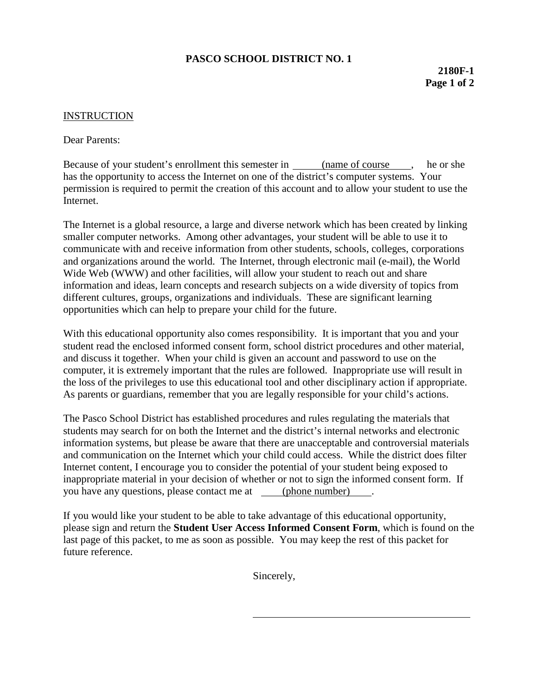## **PASCO SCHOOL DISTRICT NO. 1**

## INSTRUCTION

Dear Parents:

Because of your student's enrollment this semester in (name of course , he or she has the opportunity to access the Internet on one of the district's computer systems. Your permission is required to permit the creation of this account and to allow your student to use the Internet.

The Internet is a global resource, a large and diverse network which has been created by linking smaller computer networks. Among other advantages, your student will be able to use it to communicate with and receive information from other students, schools, colleges, corporations and organizations around the world. The Internet, through electronic mail (e-mail), the World Wide Web (WWW) and other facilities, will allow your student to reach out and share information and ideas, learn concepts and research subjects on a wide diversity of topics from different cultures, groups, organizations and individuals. These are significant learning opportunities which can help to prepare your child for the future.

With this educational opportunity also comes responsibility. It is important that you and your student read the enclosed informed consent form, school district procedures and other material, and discuss it together. When your child is given an account and password to use on the computer, it is extremely important that the rules are followed. Inappropriate use will result in the loss of the privileges to use this educational tool and other disciplinary action if appropriate. As parents or guardians, remember that you are legally responsible for your child's actions.

The Pasco School District has established procedures and rules regulating the materials that students may search for on both the Internet and the district's internal networks and electronic information systems, but please be aware that there are unacceptable and controversial materials and communication on the Internet which your child could access. While the district does filter Internet content, I encourage you to consider the potential of your student being exposed to inappropriate material in your decision of whether or not to sign the informed consent form. If you have any questions, please contact me at (phone number) .

If you would like your student to be able to take advantage of this educational opportunity, please sign and return the **Student User Access Informed Consent Form**, which is found on the last page of this packet, to me as soon as possible. You may keep the rest of this packet for future reference.

Sincerely,